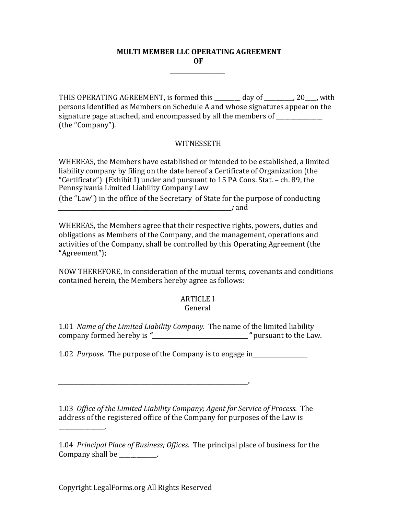## **MULTI MEMBER LLC OPERATING AGREEMENT OF**

*\_\_\_\_\_\_\_\_\_\_\_\_\_\_\_\_\_\_\_\_*

THIS OPERATING AGREEMENT, is formed this \_\_\_\_\_\_\_\_ day of \_\_\_\_\_\_\_, 20\_\_\_, with persons identified as Members on Schedule A and whose signatures appear on the signature page attached, and encompassed by all the members of (the "Company").

#### WITNESSETH

WHEREAS, the Members have established or intended to be established, a limited liability company by filing on the date hereof a Certificate of Organization (the "Certificate")  $(Exhibit I)$  under and pursuant to 15 PA Cons. Stat. – ch. 89, the Pennsylvania Limited Liability Company Law

(the "Law") in the office of the Secretary of State for the purpose of conducting *\_\_\_\_\_\_\_\_\_\_\_\_\_\_\_\_\_\_\_\_\_\_\_\_\_\_\_\_\_\_\_\_\_\_\_\_\_\_\_\_\_\_\_\_\_\_\_\_\_\_\_\_\_\_\_\_\_\_\_\_\_\_\_;* and 

WHEREAS, the Members agree that their respective rights, powers, duties and obligations as Members of the Company, and the management, operations and activities of the Company, shall be controlled by this Operating Agreement (the "Agreement"); 

NOW THEREFORE, in consideration of the mutual terms, covenants and conditions contained herein, the Members hereby agree as follows:

## **ARTICLE** I

## General

1.01 Name of the Limited Liability Company. The name of the limited liability company formed hereby is *"\_\_\_\_\_\_\_\_\_\_\_\_\_\_\_\_\_\_\_\_\_\_\_\_\_\_\_\_\_\_\_\_\_\_\_"* pursuant to the Law. 

1.02 *Purpose*. The purpose of the Company is to engage in\_\_\_\_\_\_\_\_\_\_\_\_\_\_\_\_\_\_\_\_\_\_\_

*\_\_\_\_\_\_\_\_\_\_\_\_\_\_\_\_\_\_\_\_\_\_\_\_\_\_\_\_\_\_\_\_\_\_\_\_\_\_\_\_\_\_\_\_\_\_\_\_\_\_\_\_\_\_\_\_\_\_\_\_\_\_\_\_\_\_\_\_\_.*

1.03 Office of the Limited Liability Company; Agent for Service of Process. The address of the registered office of the Company for purposes of the Law is \_\_\_\_\_\_\_\_\_\_\_\_\_\_\_\_. 

1.04 *Principal Place of Business; Offices.* The principal place of business for the Company shall be the company shall be the company shall be the control of  $\mathcal{L}$ .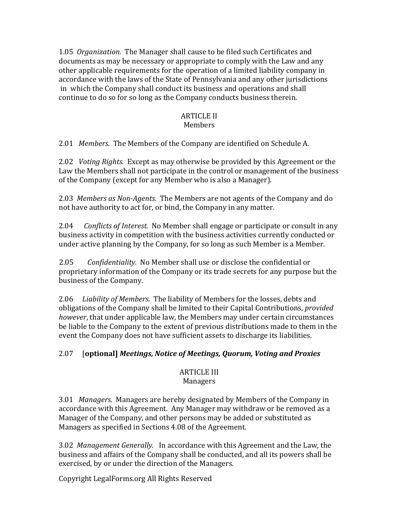1.05 *Organization.* The Manager shall cause to be filed such Certificates and documents as may be necessary or appropriate to comply with the Law and any other applicable requirements for the operation of a limited liability company in accordance with the laws of the State of Pennsylvania and any other jurisdictions in which the Company shall conduct its business and operations and shall continue to do so for so long as the Company conducts business therein.

## **ARTICLE II**

### Members

2.01 *Members.* The Members of the Company are identified on Schedule A.

2.02 *Voting Rights.* Except as may otherwise be provided by this Agreement or the Law the Members shall not participate in the control or management of the business of the Company (except for any Member who is also a Manager).

2.03 *Members as Non-Agents.* The Members are not agents of the Company and do not have authority to act for, or bind, the Company in any matter.

2.04 *Conflicts of Interest.* No Member shall engage or participate or consult in any business activity in competition with the business activities currently conducted or under active planning by the Company, for so long as such Member is a Member.

2.05 Confidentiality. No Member shall use or disclose the confidential or proprietary information of the Company or its trade secrets for any purpose but the business of the Company.

2.06 *Liability of Members.* The liability of Members for the losses, debts and obligations of the Company shall be limited to their Capital Contributions, *provided however*, that under applicable law, the Members may under certain circumstances be liable to the Company to the extent of previous distributions made to them in the event the Company does not have sufficient assets to discharge its liabilities.

## 2.07 [optional] Meetings, Notice of Meetings, Quorum, Voting and Proxies

# **ARTICLE III**

#### Managers

3.01 *Managers.* Managers are hereby designated by Members of the Company in accordance with this Agreement. Any Manager may withdraw or be removed as a Manager of the Company, and other persons may be added or substituted as Managers as specified in Sections 4.08 of the Agreement.

3.02 Management Generally. In accordance with this Agreement and the Law, the business and affairs of the Company shall be conducted, and all its powers shall be exercised, by or under the direction of the Managers.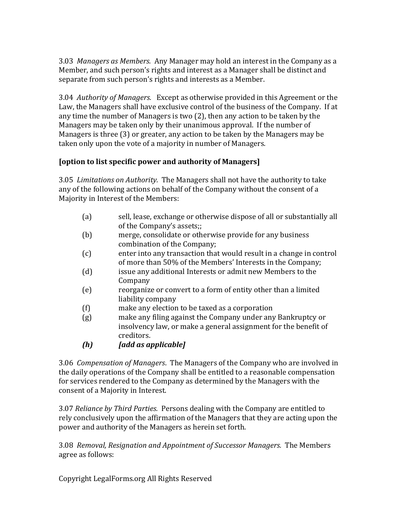3.03 *Managers as Members.* Any Manager may hold an interest in the Company as a Member, and such person's rights and interest as a Manager shall be distinct and separate from such person's rights and interests as a Member.

3.04 *Authority of Managers.* Except as otherwise provided in this Agreement or the Law, the Managers shall have exclusive control of the business of the Company. If at any time the number of Managers is two  $(2)$ , then any action to be taken by the Managers may be taken only by their unanimous approval. If the number of Managers is three  $(3)$  or greater, any action to be taken by the Managers may be taken only upon the vote of a majority in number of Managers.

## **[option to list specific power and authority of Managers]**

3.05 *Limitations on Authority.* The Managers shall not have the authority to take any of the following actions on behalf of the Company without the consent of a Majority in Interest of the Members:

- (a) sell, lease, exchange or otherwise dispose of all or substantially all of the Company's assets::
- (b) merge, consolidate or otherwise provide for any business combination of the Company;
- (c) enter into any transaction that would result in a change in control of more than 50% of the Members' Interests in the Company;
- (d) issue any additional Interests or admit new Members to the Company
- (e) reorganize or convert to a form of entity other than a limited liability company
- $(f)$  make any election to be taxed as a corporation
- (g) make any filing against the Company under any Bankruptcy or insolvency law, or make a general assignment for the benefit of creditors.
- *(h) [add as applicable]*

3.06 *Compensation of Managers*. The Managers of the Company who are involved in the daily operations of the Company shall be entitled to a reasonable compensation for services rendered to the Company as determined by the Managers with the consent of a Majority in Interest.

3.07 *Reliance by Third Parties.* Persons dealing with the Company are entitled to rely conclusively upon the affirmation of the Managers that they are acting upon the power and authority of the Managers as herein set forth.

3.08 *Removal, Resignation and Appointment of Successor Managers.* The Members agree as follows: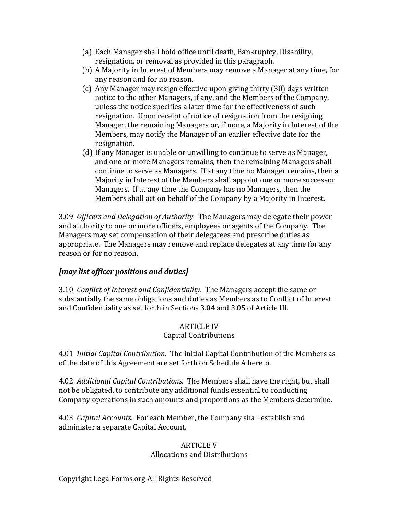- (a) Each Manager shall hold office until death, Bankruptcy, Disability, resignation, or removal as provided in this paragraph.
- (b) A Majority in Interest of Members may remove a Manager at any time, for any reason and for no reason.
- (c) Any Manager may resign effective upon giving thirty (30) days written notice to the other Managers, if any, and the Members of the Company, unless the notice specifies a later time for the effectiveness of such resignation. Upon receipt of notice of resignation from the resigning Manager, the remaining Managers or, if none, a Majority in Interest of the Members, may notify the Manager of an earlier effective date for the resignation.
- (d) If any Manager is unable or unwilling to continue to serve as Manager, and one or more Managers remains, then the remaining Managers shall continue to serve as Managers. If at any time no Manager remains, then a Majority in Interest of the Members shall appoint one or more successor Managers. If at any time the Company has no Managers, then the Members shall act on behalf of the Company by a Majority in Interest.

3.09 *Officers and Delegation of Authority.* The Managers may delegate their power and authority to one or more officers, employees or agents of the Company. The Managers may set compensation of their delegatees and prescribe duties as appropriate. The Managers may remove and replace delegates at any time for any reason or for no reason.

## *[may list officer positions and duties]*

3.10 *Conflict of Interest and Confidentiality*. The Managers accept the same or substantially the same obligations and duties as Members as to Conflict of Interest and Confidentiality as set forth in Sections 3.04 and 3.05 of Article III.

#### **ARTICLE IV** Capital Contributions

4.01 *Initial Capital Contribution*. The initial Capital Contribution of the Members as of the date of this Agreement are set forth on Schedule A hereto.

4.02 *Additional Capital Contributions.* The Members shall have the right, but shall not be obligated, to contribute any additional funds essential to conducting Company operations in such amounts and proportions as the Members determine.

4.03 Capital Accounts. For each Member, the Company shall establish and administer a separate Capital Account.

## **ARTICLE V**

#### Allocations and Distributions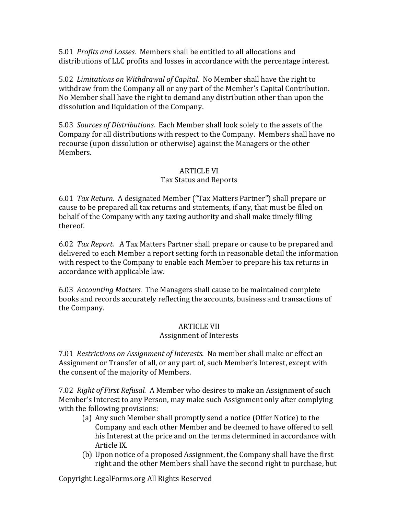5.01 *Profits and Losses.* Members shall be entitled to all allocations and distributions of LLC profits and losses in accordance with the percentage interest.

5.02 *Limitations on Withdrawal of Capital.* No Member shall have the right to withdraw from the Company all or any part of the Member's Capital Contribution. No Member shall have the right to demand any distribution other than upon the dissolution and liquidation of the Company.

5.03 *Sources of Distributions.* Each Member shall look solely to the assets of the Company for all distributions with respect to the Company. Members shall have no recourse (upon dissolution or otherwise) against the Managers or the other Members.

#### **ARTICLE VI**

#### Tax Status and Reports

6.01 *Tax Return.* A designated Member ("Tax Matters Partner") shall prepare or cause to be prepared all tax returns and statements, if any, that must be filed on behalf of the Company with any taxing authority and shall make timely filing thereof.

6.02 *Tax Report.*  A Tax Matters Partner shall prepare or cause to be prepared and delivered to each Member a report setting forth in reasonable detail the information with respect to the Company to enable each Member to prepare his tax returns in accordance with applicable law.

6.03 *Accounting Matters.* The Managers shall cause to be maintained complete books and records accurately reflecting the accounts, business and transactions of the Company.

#### **ARTICLE VII** Assignment of Interests

7.01 Restrictions on Assignment of Interests. No member shall make or effect an Assignment or Transfer of all, or any part of, such Member's Interest, except with the consent of the majority of Members.

7.02 *Right of First Refusal.* A Member who desires to make an Assignment of such Member's Interest to any Person, may make such Assignment only after complying with the following provisions:

- (a) Any such Member shall promptly send a notice (Offer Notice) to the Company and each other Member and be deemed to have offered to sell his Interest at the price and on the terms determined in accordance with Article IX.
- (b) Upon notice of a proposed Assignment, the Company shall have the first right and the other Members shall have the second right to purchase, but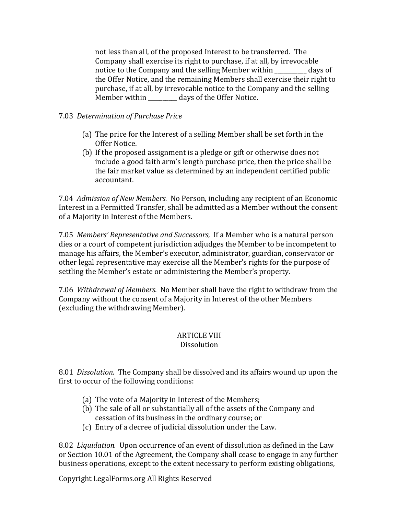not less than all, of the proposed Interest to be transferred. The Company shall exercise its right to purchase, if at all, by irrevocable notice to the Company and the selling Member within \_\_\_\_\_\_\_\_\_ days of the Offer Notice, and the remaining Members shall exercise their right to purchase, if at all, by irrevocable notice to the Company and the selling Member within \_\_\_\_\_\_\_\_ days of the Offer Notice.

### 7.03 *Determination of Purchase Price*

- (a) The price for the Interest of a selling Member shall be set forth in the Offer Notice.
- (b) If the proposed assignment is a pledge or gift or otherwise does not include a good faith arm's length purchase price, then the price shall be the fair market value as determined by an independent certified public accountant.

7.04 *Admission of New Members.* No Person, including any recipient of an Economic Interest in a Permitted Transfer, shall be admitted as a Member without the consent of a Majority in Interest of the Members.

7.05 *Members' Representative and Successors,* If a Member who is a natural person dies or a court of competent jurisdiction adjudges the Member to be incompetent to manage his affairs, the Member's executor, administrator, guardian, conservator or other legal representative may exercise all the Member's rights for the purpose of settling the Member's estate or administering the Member's property.

7.06 *Withdrawal of Members.* No Member shall have the right to withdraw from the Company without the consent of a Majority in Interest of the other Members (excluding the withdrawing Member).

#### **ARTICLE VIII Dissolution**

8.01 *Dissolution*. The Company shall be dissolved and its affairs wound up upon the first to occur of the following conditions:

- (a) The vote of a Majority in Interest of the Members;
- (b) The sale of all or substantially all of the assets of the Company and cessation of its business in the ordinary course; or
- (c) Entry of a decree of judicial dissolution under the Law.

8.02 Liquidation. Upon occurrence of an event of dissolution as defined in the Law or Section 10.01 of the Agreement, the Company shall cease to engage in any further business operations, except to the extent necessary to perform existing obligations,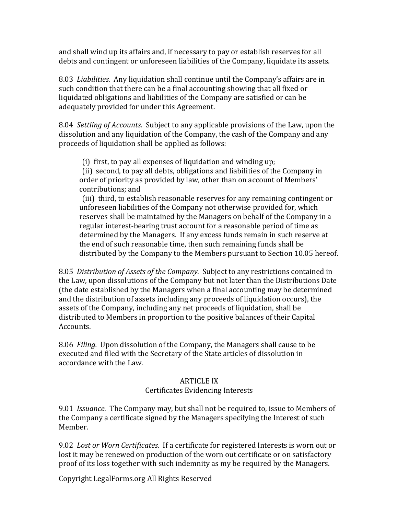and shall wind up its affairs and, if necessary to pay or establish reserves for all debts and contingent or unforeseen liabilities of the Company, liquidate its assets.

8.03 *Liabilities.* Any liquidation shall continue until the Company's affairs are in such condition that there can be a final accounting showing that all fixed or liquidated obligations and liabilities of the Company are satisfied or can be adequately provided for under this Agreement.

8.04 *Settling of Accounts*. Subject to any applicable provisions of the Law, upon the dissolution and any liquidation of the Company, the cash of the Company and any proceeds of liquidation shall be applied as follows:

(i) first, to pay all expenses of liquidation and winding up;

(ii) second, to pay all debts, obligations and liabilities of the Company in order of priority as provided by law, other than on account of Members' contributions; and

(iii) third, to establish reasonable reserves for any remaining contingent or unforeseen liabilities of the Company not otherwise provided for, which reserves shall be maintained by the Managers on behalf of the Company in a regular interest-bearing trust account for a reasonable period of time as determined by the Managers. If any excess funds remain in such reserve at the end of such reasonable time, then such remaining funds shall be distributed by the Company to the Members pursuant to Section 10.05 hereof.

8.05 Distribution of Assets of the Company. Subject to any restrictions contained in the Law, upon dissolutions of the Company but not later than the Distributions Date (the date established by the Managers when a final accounting may be determined and the distribution of assets including any proceeds of liquidation occurs), the assets of the Company, including any net proceeds of liquidation, shall be distributed to Members in proportion to the positive balances of their Capital Accounts.

8.06 *Filing.* Upon dissolution of the Company, the Managers shall cause to be executed and filed with the Secretary of the State articles of dissolution in accordance with the Law.

#### **ARTICLE IX**

#### Certificates Evidencing Interests

9.01 *Issuance*. The Company may, but shall not be required to, issue to Members of the Company a certificate signed by the Managers specifying the Interest of such Member. 

9.02 Lost or Worn Certificates. If a certificate for registered Interests is worn out or lost it may be renewed on production of the worn out certificate or on satisfactory proof of its loss together with such indemnity as my be required by the Managers.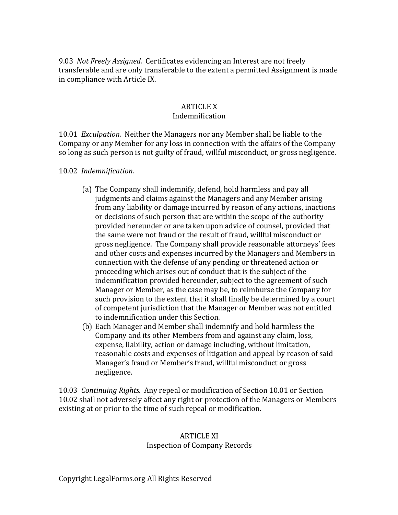9.03 *Not Freely Assigned.* Certificates evidencing an Interest are not freely transferable and are only transferable to the extent a permitted Assignment is made in compliance with Article IX.

## **ARTICLE X**

#### Indemnification

10.01 *Exculpation.* Neither the Managers nor any Member shall be liable to the Company or any Member for any loss in connection with the affairs of the Company so long as such person is not guilty of fraud, willful misconduct, or gross negligence.

#### 10.02 *Indemnification.*

- (a) The Company shall indemnify, defend, hold harmless and pay all judgments and claims against the Managers and any Member arising from any liability or damage incurred by reason of any actions, inactions or decisions of such person that are within the scope of the authority provided hereunder or are taken upon advice of counsel, provided that the same were not fraud or the result of fraud, willful misconduct or gross negligence. The Company shall provide reasonable attorneys' fees and other costs and expenses incurred by the Managers and Members in connection with the defense of any pending or threatened action or proceeding which arises out of conduct that is the subject of the indemnification provided hereunder, subject to the agreement of such Manager or Member, as the case may be, to reimburse the Company for such provision to the extent that it shall finally be determined by a court of competent jurisdiction that the Manager or Member was not entitled to indemnification under this Section.
- (b) Each Manager and Member shall indemnify and hold harmless the Company and its other Members from and against any claim, loss, expense, liability, action or damage including, without limitation, reasonable costs and expenses of litigation and appeal by reason of said Manager's fraud or Member's fraud, willful misconduct or gross negligence.

10.03 Continuing Rights. Any repeal or modification of Section 10.01 or Section 10.02 shall not adversely affect any right or protection of the Managers or Members existing at or prior to the time of such repeal or modification.

## **ARTICLE XI** Inspection of Company Records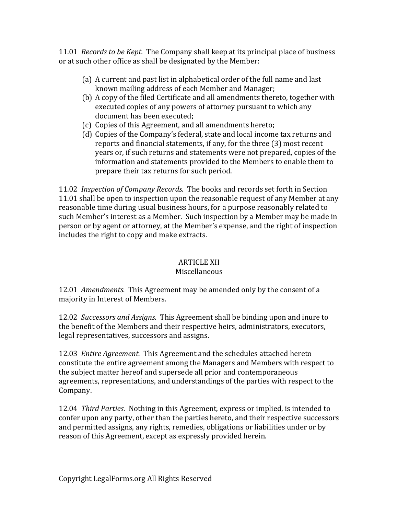11.01 *Records to be Kept.* The Company shall keep at its principal place of business or at such other office as shall be designated by the Member:

- (a) A current and past list in alphabetical order of the full name and last known mailing address of each Member and Manager;
- (b) A copy of the filed Certificate and all amendments thereto, together with executed copies of any powers of attorney pursuant to which any document has been executed;
- (c) Copies of this Agreement, and all amendments hereto;
- (d) Copies of the Company's federal, state and local income tax returns and reports and financial statements, if any, for the three (3) most recent years or, if such returns and statements were not prepared, copies of the information and statements provided to the Members to enable them to prepare their tax returns for such period.

11.02 *Inspection of Company Records.* The books and records set forth in Section 11.01 shall be open to inspection upon the reasonable request of any Member at any reasonable time during usual business hours, for a purpose reasonably related to such Member's interest as a Member. Such inspection by a Member may be made in person or by agent or attorney, at the Member's expense, and the right of inspection includes the right to copy and make extracts.

## **ARTICLE XII**

## **Miscellaneous**

12.01 *Amendments.* This Agreement may be amended only by the consent of a majority in Interest of Members.

12.02 Successors and Assigns. This Agreement shall be binding upon and inure to the benefit of the Members and their respective heirs, administrators, executors, legal representatives, successors and assigns.

12.03 *Entire Agreement.* This Agreement and the schedules attached hereto constitute the entire agreement among the Managers and Members with respect to the subject matter hereof and supersede all prior and contemporaneous agreements, representations, and understandings of the parties with respect to the Company.

12.04 *Third Parties.* Nothing in this Agreement, express or implied, is intended to confer upon any party, other than the parties hereto, and their respective successors and permitted assigns, any rights, remedies, obligations or liabilities under or by reason of this Agreement, except as expressly provided herein.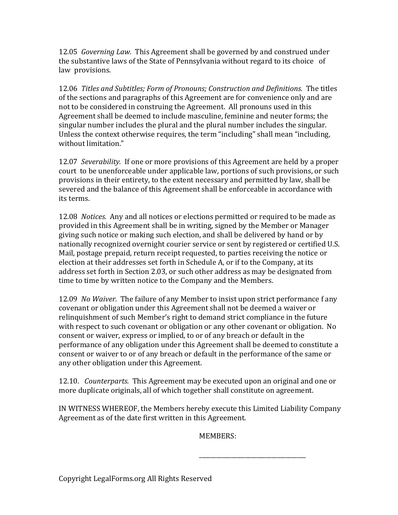12.05 *Governing Law.* This Agreement shall be governed by and construed under the substantive laws of the State of Pennsylvania without regard to its choice of law provisions.

12.06 Titles and Subtitles; Form of Pronouns; Construction and Definitions. The titles of the sections and paragraphs of this Agreement are for convenience only and are not to be considered in construing the Agreement. All pronouns used in this Agreement shall be deemed to include masculine, feminine and neuter forms; the singular number includes the plural and the plural number includes the singular. Unless the context otherwise requires, the term "including" shall mean "including, without limitation."

12.07 *Severability.* If one or more provisions of this Agreement are held by a proper court to be unenforceable under applicable law, portions of such provisions, or such provisions in their entirety, to the extent necessary and permitted by law, shall be severed and the balance of this Agreement shall be enforceable in accordance with its terms.

12.08 *Notices.* Any and all notices or elections permitted or required to be made as provided in this Agreement shall be in writing, signed by the Member or Manager giving such notice or making such election, and shall be delivered by hand or by nationally recognized overnight courier service or sent by registered or certified U.S. Mail, postage prepaid, return receipt requested, to parties receiving the notice or election at their addresses set forth in Schedule A, or if to the Company, at its address set forth in Section 2.03, or such other address as may be designated from time to time by written notice to the Company and the Members.

12.09 *No Waiver.* The failure of any Member to insist upon strict performance f any covenant or obligation under this Agreement shall not be deemed a waiver or relinquishment of such Member's right to demand strict compliance in the future with respect to such covenant or obligation or any other covenant or obligation. No consent or waiver, express or implied, to or of any breach or default in the performance of any obligation under this Agreement shall be deemed to constitute a consent or waiver to or of any breach or default in the performance of the same or any other obligation under this Agreement.

12.10. *Counterparts.* This Agreement may be executed upon an original and one or more duplicate originals, all of which together shall constitute on agreement.

IN WITNESS WHEREOF, the Members hereby execute this Limited Liability Company Agreement as of the date first written in this Agreement.

MEMBERS:

\_\_\_\_\_\_\_\_\_\_\_\_\_\_\_\_\_\_\_\_\_\_\_\_\_\_\_\_\_\_\_\_\_\_\_\_\_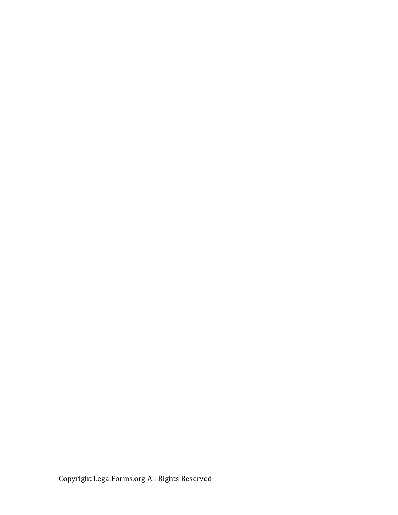Copyright LegalForms.org All Rights Reserved

\_\_\_\_\_\_\_\_\_\_\_\_\_\_\_\_\_\_\_\_\_\_\_\_\_\_\_\_\_\_\_\_\_\_\_\_\_\_

\_\_\_\_\_\_\_\_\_\_\_\_\_\_\_\_\_\_\_\_\_\_\_\_\_\_\_\_\_\_\_\_\_\_\_\_\_\_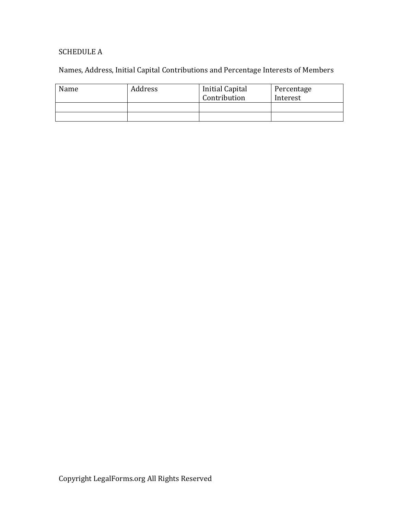## **SCHEDULE A**

## Names, Address, Initial Capital Contributions and Percentage Interests of Members

| Name | Address | Initial Capital<br>Contribution | Percentage<br>Interest |
|------|---------|---------------------------------|------------------------|
|      |         |                                 |                        |
|      |         |                                 |                        |